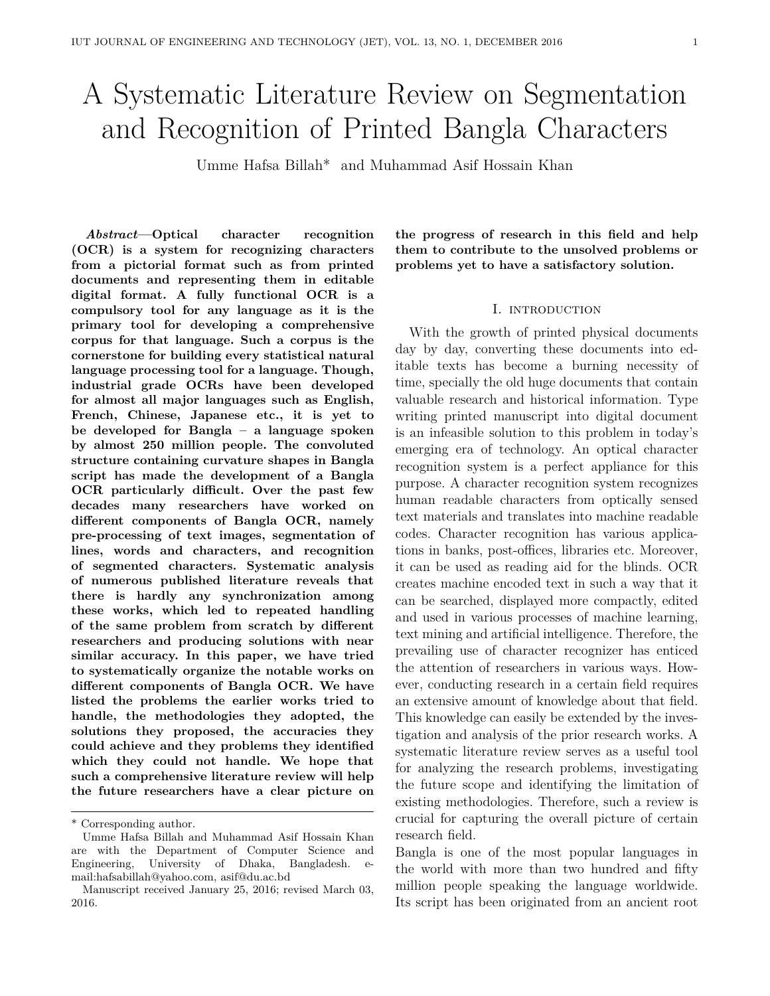# A Systematic Literature Review on Segmentation and Recognition of Printed Bangla Characters

Umme Hafsa Billah\* and Muhammad Asif Hossain Khan

*Abstract***—Optical character recognition (OCR) is a system for recognizing characters from a pictorial format such as from printed documents and representing them in editable digital format. A fully functional OCR is a compulsory tool for any language as it is the primary tool for developing a comprehensive corpus for that language. Such a corpus is the cornerstone for building every statistical natural language processing tool for a language. Though, industrial grade OCRs have been developed for almost all major languages such as English, French, Chinese, Japanese etc., it is yet to be developed for Bangla – a language spoken by almost 250 million people. The convoluted structure containing curvature shapes in Bangla script has made the development of a Bangla OCR particularly difficult. Over the past few decades many researchers have worked on different components of Bangla OCR, namely pre-processing of text images, segmentation of lines, words and characters, and recognition of segmented characters. Systematic analysis of numerous published literature reveals that there is hardly any synchronization among these works, which led to repeated handling of the same problem from scratch by different researchers and producing solutions with near similar accuracy. In this paper, we have tried to systematically organize the notable works on different components of Bangla OCR. We have listed the problems the earlier works tried to handle, the methodologies they adopted, the solutions they proposed, the accuracies they could achieve and they problems they identified which they could not handle. We hope that such a comprehensive literature review will help the future researchers have a clear picture on**

**the progress of research in this field and help them to contribute to the unsolved problems or problems yet to have a satisfactory solution.**

## I. INTRODUCTION

With the growth of printed physical documents day by day, converting these documents into editable texts has become a burning necessity of time, specially the old huge documents that contain valuable research and historical information. Type writing printed manuscript into digital document is an infeasible solution to this problem in today's emerging era of technology. An optical character recognition system is a perfect appliance for this purpose. A character recognition system recognizes human readable characters from optically sensed text materials and translates into machine readable codes. Character recognition has various applications in banks, post-offices, libraries etc. Moreover, it can be used as reading aid for the blinds. OCR creates machine encoded text in such a way that it can be searched, displayed more compactly, edited and used in various processes of machine learning, text mining and artificial intelligence. Therefore, the prevailing use of character recognizer has enticed the attention of researchers in various ways. However, conducting research in a certain field requires an extensive amount of knowledge about that field. This knowledge can easily be extended by the investigation and analysis of the prior research works. A systematic literature review serves as a useful tool for analyzing the research problems, investigating the future scope and identifying the limitation of existing methodologies. Therefore, such a review is crucial for capturing the overall picture of certain research field.

Bangla is one of the most popular languages in the world with more than two hundred and fifty million people speaking the language worldwide. Its script has been originated from an ancient root

<sup>\*</sup> Corresponding author.

Umme Hafsa Billah and Muhammad Asif Hossain Khan are with the Department of Computer Science and Engineering, University of Dhaka, Bangladesh. email:hafsabillah@yahoo.com, asif@du.ac.bd

Manuscript received January 25, 2016; revised March 03, 2016.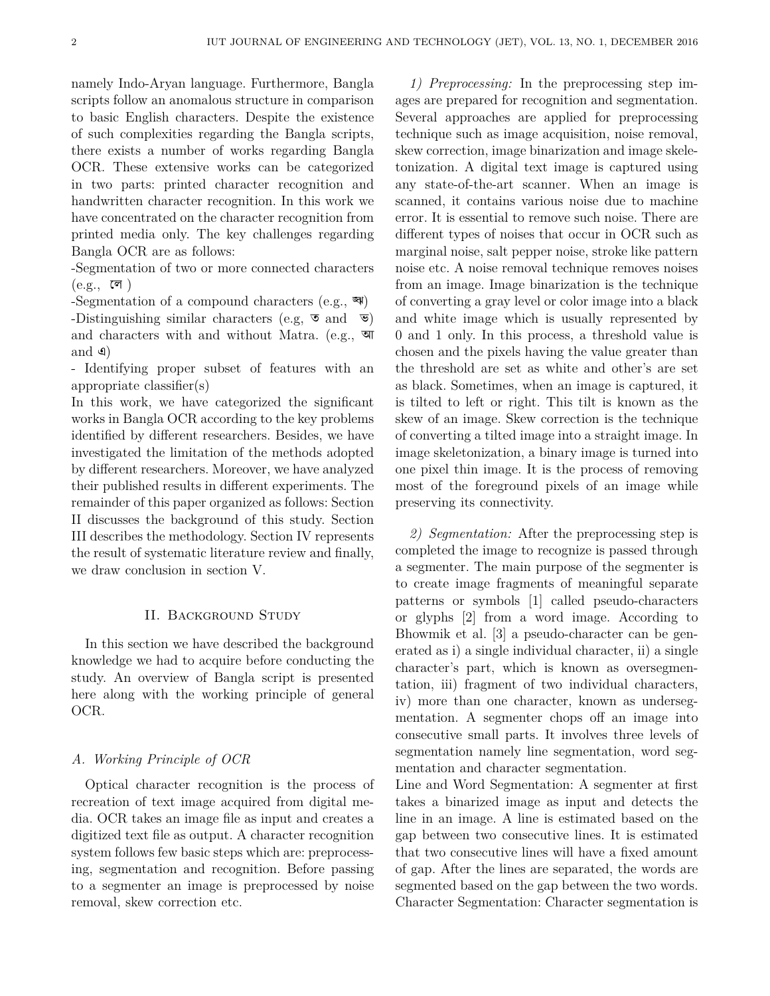namely Indo-Aryan language. Furthermore, Bangla scripts follow an anomalous structure in comparison to basic English characters. Despite the existence of such complexities regarding the Bangla scripts, there exists a number of works regarding Bangla OCR. These extensive works can be categorized in two parts: printed character recognition and handwritten character recognition. In this work we have concentrated on the character recognition from printed media only. The key challenges regarding Bangla OCR are as follows:

-Segmentation of two or more connected characters  $(e.g., \overline{c}$  )

-Segmentation of a compound characters  $(e.g., \overline{\mathbf{w}})$ -Distinguishing similar characters (e.g,  $\overline{\bullet}$  and  $\overline{\bullet}$ ) and characters with and without Matra. (e.g., আ and এ)

- Identifying proper subset of features with an appropriate classifier(s)

In this work, we have categorized the significant works in Bangla OCR according to the key problems identified by different researchers. Besides, we have investigated the limitation of the methods adopted by different researchers. Moreover, we have analyzed their published results in different experiments. The remainder of this paper organized as follows: Section II discusses the background of this study. Section III describes the methodology. Section IV represents the result of systematic literature review and finally, we draw conclusion in section V.

## II. Background Study

In this section we have described the background knowledge we had to acquire before conducting the study. An overview of Bangla script is presented here along with the working principle of general OCR.

#### *A. Working Principle of OCR*

Optical character recognition is the process of recreation of text image acquired from digital media. OCR takes an image file as input and creates a digitized text file as output. A character recognition system follows few basic steps which are: preprocessing, segmentation and recognition. Before passing to a segmenter an image is preprocessed by noise removal, skew correction etc.

*1) Preprocessing:* In the preprocessing step images are prepared for recognition and segmentation. Several approaches are applied for preprocessing technique such as image acquisition, noise removal, skew correction, image binarization and image skeletonization. A digital text image is captured using any state-of-the-art scanner. When an image is scanned, it contains various noise due to machine error. It is essential to remove such noise. There are different types of noises that occur in OCR such as marginal noise, salt pepper noise, stroke like pattern noise etc. A noise removal technique removes noises from an image. Image binarization is the technique of converting a gray level or color image into a black and white image which is usually represented by 0 and 1 only. In this process, a threshold value is chosen and the pixels having the value greater than the threshold are set as white and other's are set as black. Sometimes, when an image is captured, it is tilted to left or right. This tilt is known as the skew of an image. Skew correction is the technique of converting a tilted image into a straight image. In image skeletonization, a binary image is turned into one pixel thin image. It is the process of removing most of the foreground pixels of an image while preserving its connectivity.

*2) Segmentation:* After the preprocessing step is completed the image to recognize is passed through a segmenter. The main purpose of the segmenter is to create image fragments of meaningful separate patterns or symbols [1] called pseudo-characters or glyphs [2] from a word image. According to Bhowmik et al. [3] a pseudo-character can be generated as i) a single individual character, ii) a single character's part, which is known as oversegmentation, iii) fragment of two individual characters, iv) more than one character, known as undersegmentation. A segmenter chops off an image into consecutive small parts. It involves three levels of segmentation namely line segmentation, word segmentation and character segmentation.

Line and Word Segmentation: A segmenter at first takes a binarized image as input and detects the line in an image. A line is estimated based on the gap between two consecutive lines. It is estimated that two consecutive lines will have a fixed amount of gap. After the lines are separated, the words are segmented based on the gap between the two words. Character Segmentation: Character segmentation is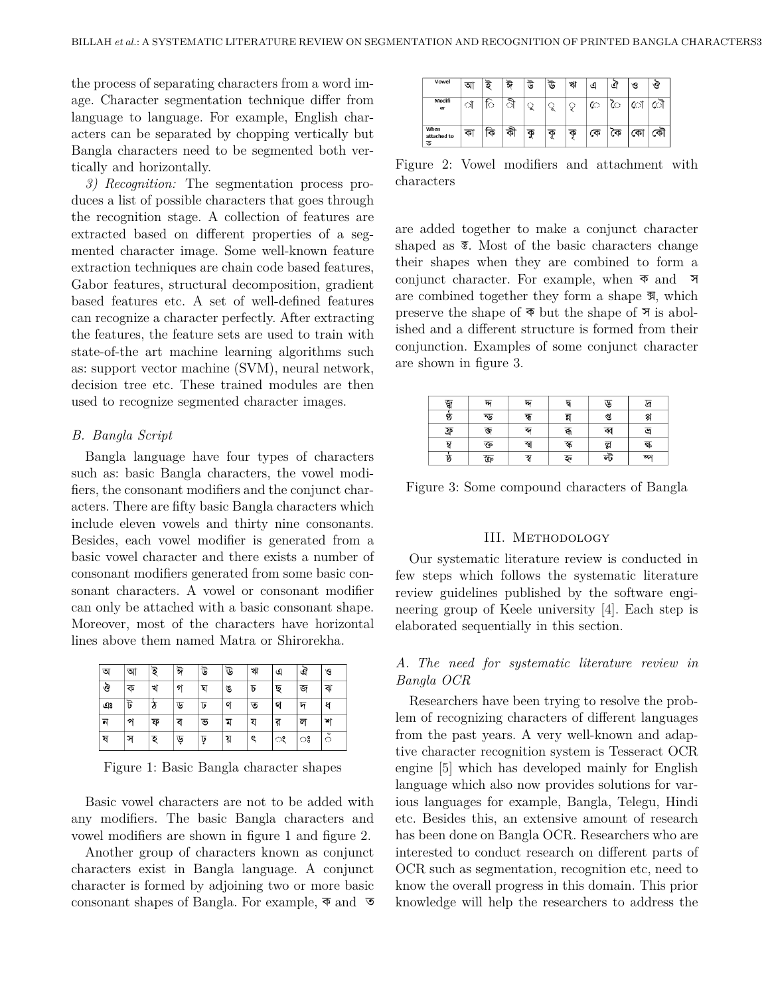the process of separating characters from a word image. Character segmentation technique differ from language to language. For example, English characters can be separated by chopping vertically but Bangla characters need to be segmented both vertically and horizontally.

*3) Recognition:* The segmentation process produces a list of possible characters that goes through the recognition stage. A collection of features are extracted based on different properties of a segmented character image. Some well-known feature extraction techniques are chain code based features, Gabor features, structural decomposition, gradient based features etc. A set of well-defined features can recognize a character perfectly. After extracting the features, the feature sets are used to train with state-of-the art machine learning algorithms such as: support vector machine (SVM), neural network, decision tree etc. These trained modules are then used to recognize segmented character images.

## *B. Bangla Script*

Bangla language have four types of characters such as: basic Bangla characters, the vowel modifiers, the consonant modifiers and the conjunct characters. There are fifty basic Bangla characters which include eleven vowels and thirty nine consonants. Besides, each vowel modifier is generated from a basic vowel character and there exists a number of consonant modifiers generated from some basic consonant characters. A vowel or consonant modifier can only be attached with a basic consonant shape. Moreover, most of the characters have horizontal lines above them named Matra or Shirorekha.

| অ | আ | ই | ঈ  | উ  | উ  | ブ | এ | ত | ও                       |
|---|---|---|----|----|----|---|---|---|-------------------------|
| ঔ | ক | খ | গ  | ঘ  | ঙ  | ᢧ | ছ | জ | ঝ                       |
| ঞ | ট |   | ড  | ᢑ  | ণ  | ত | থ | দ | ध                       |
| ন | প | ফ | ₹  | ভ  | ম  | য | র | ল | শ                       |
| ষ | স | হ | ড় | ঢ় | য় | ୧ | ং | ಃ | $\checkmark$<br>$\circ$ |

Figure 1: Basic Bangla character shapes

Basic vowel characters are not to be added with any modifiers. The basic Bangla characters and vowel modifiers are shown in figure 1 and figure 2.

Another group of characters known as conjunct characters exist in Bangla language. A conjunct character is formed by adjoining two or more basic consonant shapes of Bangla. For example, ক and ত

| Vowel                    | অ  |   | ঈ      | ড        | ط⊽ | খা | ا کی |    | ে   | ও |
|--------------------------|----|---|--------|----------|----|----|------|----|-----|---|
| Modifi<br>er             | O. | Ю | ≂<br>Ø | ু        | ृ  | 9  | ে    | ে  | ো   |   |
| When<br>attached to<br>ক | จ  |   | কী     | ক<br>ol. | ক  | ক  | কে   | কে | ር ጥ |   |

Figure 2: Vowel modifiers and attachment with characters

are added together to make a conjunct character shaped as  $\overline{\mathcal{F}}$ . Most of the basic characters change their shapes when they are combined to form a conjunct character. For example, when ক and স are combined together they form a shape  $\overline{\mathfrak{A}}$ , which preserve the shape of ক but the shape of স is abolished and a different structure is formed from their conjunction. Examples of some conjunct character are shown in figure 3.

| জ   | $\overline{w}$ | $\overline{w}$ | দ   | ড   |     |
|-----|----------------|----------------|-----|-----|-----|
| G)  | ন্ড            | क्र            |     | প্ত | 엙   |
| ফ্র | জ              | ক              | क्र | ব্ব | ज   |
| মু  | ক্ত            | স্খ            | স্ক | ল্ল | द्ध |
| Þ.  | ক্র            | স্ব            | হৃ  | ল্ট | ळ्  |

Figure 3: Some compound characters of Bangla

#### III. Methodology

Our systematic literature review is conducted in few steps which follows the systematic literature review guidelines published by the software engineering group of Keele university [4]. Each step is elaborated sequentially in this section.

# *A. The need for systematic literature review in Bangla OCR*

Researchers have been trying to resolve the problem of recognizing characters of different languages from the past years. A very well-known and adaptive character recognition system is Tesseract OCR engine [5] which has developed mainly for English language which also now provides solutions for various languages for example, Bangla, Telegu, Hindi etc. Besides this, an extensive amount of research has been done on Bangla OCR. Researchers who are interested to conduct research on different parts of OCR such as segmentation, recognition etc, need to know the overall progress in this domain. This prior knowledge will help the researchers to address the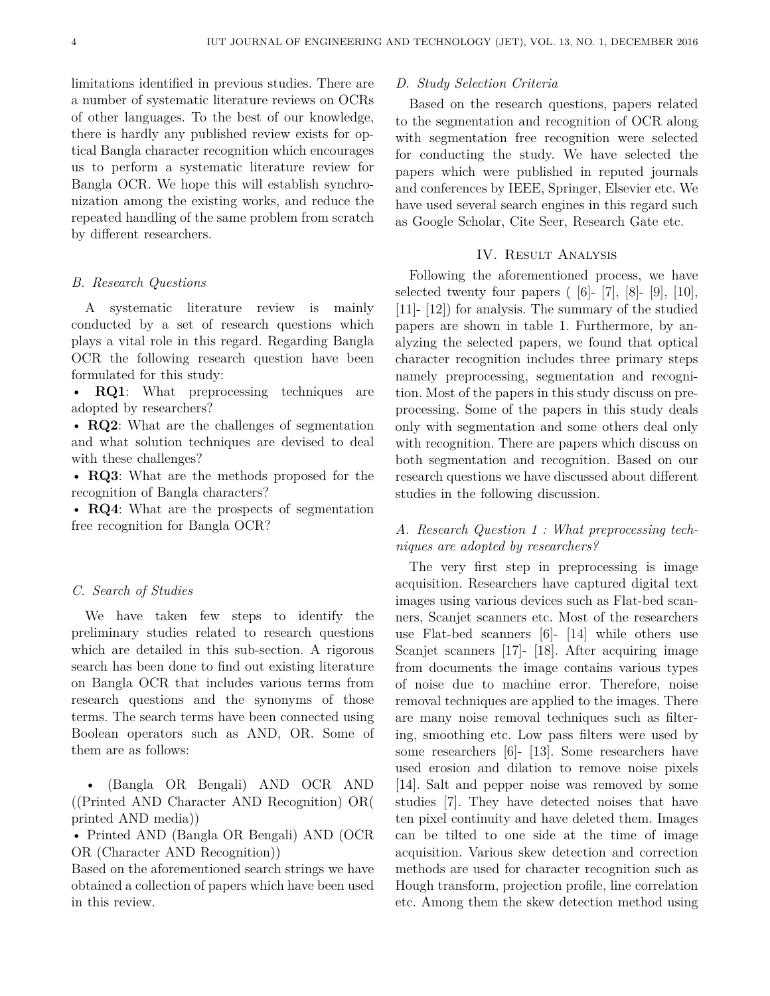limitations identified in previous studies. There are a number of systematic literature reviews on OCRs of other languages. To the best of our knowledge, there is hardly any published review exists for optical Bangla character recognition which encourages us to perform a systematic literature review for Bangla OCR. We hope this will establish synchronization among the existing works, and reduce the repeated handling of the same problem from scratch by different researchers.

## *B. Research Questions*

A systematic literature review is mainly conducted by a set of research questions which plays a vital role in this regard. Regarding Bangla OCR the following research question have been formulated for this study:

• **RQ1**: What preprocessing techniques are adopted by researchers?

• **RQ2**: What are the challenges of segmentation and what solution techniques are devised to deal with these challenges?

• **RQ3**: What are the methods proposed for the recognition of Bangla characters?

• **RQ4**: What are the prospects of segmentation free recognition for Bangla OCR?

#### *C. Search of Studies*

We have taken few steps to identify the preliminary studies related to research questions which are detailed in this sub-section. A rigorous search has been done to find out existing literature on Bangla OCR that includes various terms from research questions and the synonyms of those terms. The search terms have been connected using Boolean operators such as AND, OR. Some of them are as follows:

• (Bangla OR Bengali) AND OCR AND ((Printed AND Character AND Recognition) OR( printed AND media))

• Printed AND (Bangla OR Bengali) AND (OCR OR (Character AND Recognition))

Based on the aforementioned search strings we have obtained a collection of papers which have been used in this review.

#### *D. Study Selection Criteria*

Based on the research questions, papers related to the segmentation and recognition of OCR along with segmentation free recognition were selected for conducting the study. We have selected the papers which were published in reputed journals and conferences by IEEE, Springer, Elsevier etc. We have used several search engines in this regard such as Google Scholar, Cite Seer, Research Gate etc.

## IV. Result Analysis

Following the aforementioned process, we have selected twenty four papers  $(6-7, 8-9, 10)$ , [11]- [12]) for analysis. The summary of the studied papers are shown in table 1. Furthermore, by analyzing the selected papers, we found that optical character recognition includes three primary steps namely preprocessing, segmentation and recognition. Most of the papers in this study discuss on preprocessing. Some of the papers in this study deals only with segmentation and some others deal only with recognition. There are papers which discuss on both segmentation and recognition. Based on our research questions we have discussed about different studies in the following discussion.

# *A. Research Question 1 : What preprocessing techniques are adopted by researchers?*

The very first step in preprocessing is image acquisition. Researchers have captured digital text images using various devices such as Flat-bed scanners, Scanjet scanners etc. Most of the researchers use Flat-bed scanners [6]- [14] while others use Scanjet scanners [17]- [18]. After acquiring image from documents the image contains various types of noise due to machine error. Therefore, noise removal techniques are applied to the images. There are many noise removal techniques such as filtering, smoothing etc. Low pass filters were used by some researchers [6]- [13]. Some researchers have used erosion and dilation to remove noise pixels [14]. Salt and pepper noise was removed by some studies [7]. They have detected noises that have ten pixel continuity and have deleted them. Images can be tilted to one side at the time of image acquisition. Various skew detection and correction methods are used for character recognition such as Hough transform, projection profile, line correlation etc. Among them the skew detection method using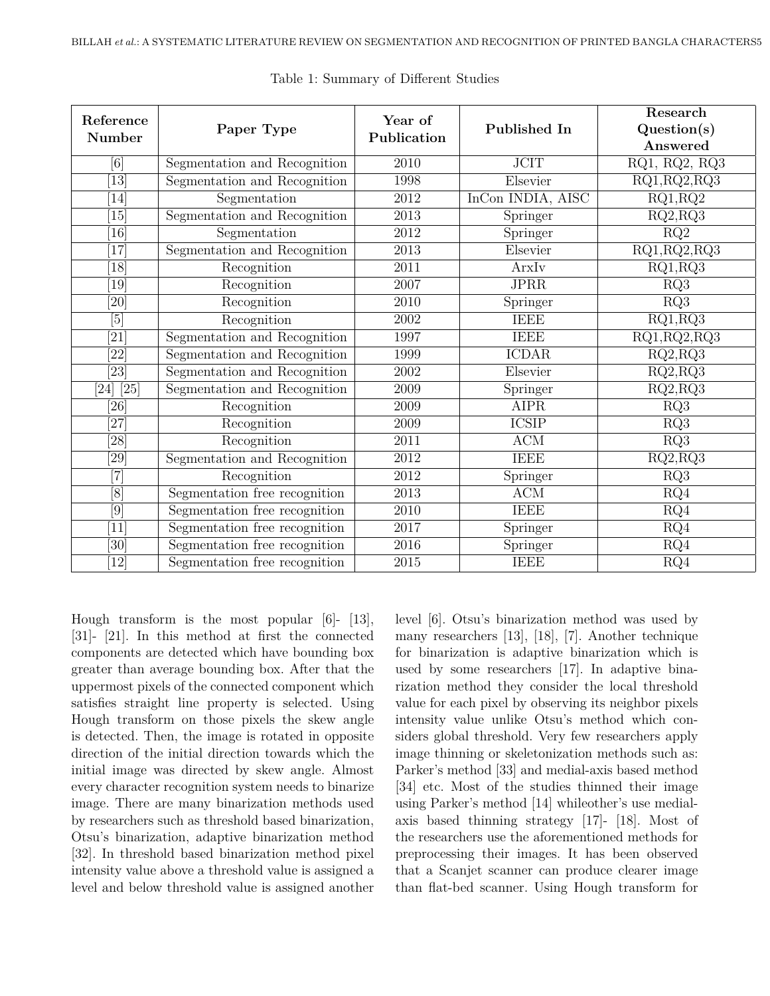| Reference<br>Number     | Paper Type                    | Year of<br>Publication | Published In      | Research<br>Question(s)<br>Answered                   |
|-------------------------|-------------------------------|------------------------|-------------------|-------------------------------------------------------|
| $\lceil 6 \rceil$       | Segmentation and Recognition  | 2010                   | <b>JCIT</b>       | $\overline{\text{RQ1}}$ , $\text{RQ2}$ , $\text{RQ3}$ |
| 13                      | Segmentation and Recognition  | 1998                   | Elsevier          | RQ1, RQ2, RQ3                                         |
| 14                      | Segmentation                  | 2012                   | InCon INDIA, AISC | RQ1, RQ2                                              |
| 15                      | Segmentation and Recognition  | 2013                   | Springer          | RQ2, RQ3                                              |
| 16                      | Segmentation                  | 2012                   | Springer          | RQ2                                                   |
| 17                      | Segmentation and Recognition  | 2013                   | Elsevier          | RQ1, RQ2, RQ3                                         |
| 18                      | Recognition                   | 2011                   | ArxIv             | RQ1, RQ3                                              |
| 19                      | Recognition                   | 2007                   | <b>JPRR</b>       | RQ3                                                   |
| [20]                    | Recognition                   | 2010                   | Springer          | RQ3                                                   |
| $\lceil 5 \rceil$       | Recognition                   | 2002                   | <b>IEEE</b>       | RQ1, RQ3                                              |
| $\left[21\right]$       | Segmentation and Recognition  | 1997                   | <b>IEEE</b>       | RQ1, RQ2, RQ3                                         |
| $\overline{[22]}$       | Segmentation and Recognition  | 1999                   | <b>ICDAR</b>      | RQ2, RQ3                                              |
| $\overline{23}$         | Segmentation and Recognition  | 2002                   | Elsevier          | RQ2, RQ3                                              |
| $\sqrt{24}$ $\sqrt{25}$ | Segmentation and Recognition  | 2009                   | Springer          | RQ2, RQ3                                              |
| [26]                    | Recognition                   | 2009                   | <b>AIPR</b>       | RQ3                                                   |
| [27]                    | Recognition                   | 2009                   | <b>ICSIP</b>      | RQ3                                                   |
| [28]                    | Recognition                   | 2011                   | $\rm{ACM}$        | RQ3                                                   |
| $\overline{29}$         | Segmentation and Recognition  | 2012                   | <b>IEEE</b>       | RQ2, RQ3                                              |
| $\boxed{7}$             | Recognition                   | 2012                   | Springer          | RQ3                                                   |
| [8]                     | Segmentation free recognition | 2013                   | ACM               | RQ4                                                   |
| $\overline{[9]}$        | Segmentation free recognition | 2010                   | <b>IEEE</b>       | RQ4                                                   |
| <sup>11</sup>           | Segmentation free recognition | 2017                   | Springer          | RQ4                                                   |
| $\overline{30}$         | Segmentation free recognition | 2016                   | Springer          | RQ4                                                   |
| 12                      | Segmentation free recognition | 2015                   | <b>IEEE</b>       | $\overline{\text{RQ}}4$                               |

Table 1: Summary of Different Studies

Hough transform is the most popular [6]- [13], [31]- [21]. In this method at first the connected components are detected which have bounding box greater than average bounding box. After that the uppermost pixels of the connected component which satisfies straight line property is selected. Using Hough transform on those pixels the skew angle is detected. Then, the image is rotated in opposite direction of the initial direction towards which the initial image was directed by skew angle. Almost every character recognition system needs to binarize image. There are many binarization methods used by researchers such as threshold based binarization, Otsu's binarization, adaptive binarization method [32]. In threshold based binarization method pixel intensity value above a threshold value is assigned a level and below threshold value is assigned another level [6]. Otsu's binarization method was used by many researchers [13], [18], [7]. Another technique for binarization is adaptive binarization which is used by some researchers [17]. In adaptive binarization method they consider the local threshold value for each pixel by observing its neighbor pixels intensity value unlike Otsu's method which considers global threshold. Very few researchers apply image thinning or skeletonization methods such as: Parker's method [33] and medial-axis based method [34] etc. Most of the studies thinned their image using Parker's method [14] whileother's use medialaxis based thinning strategy [17]- [18]. Most of the researchers use the aforementioned methods for preprocessing their images. It has been observed that a Scanjet scanner can produce clearer image than flat-bed scanner. Using Hough transform for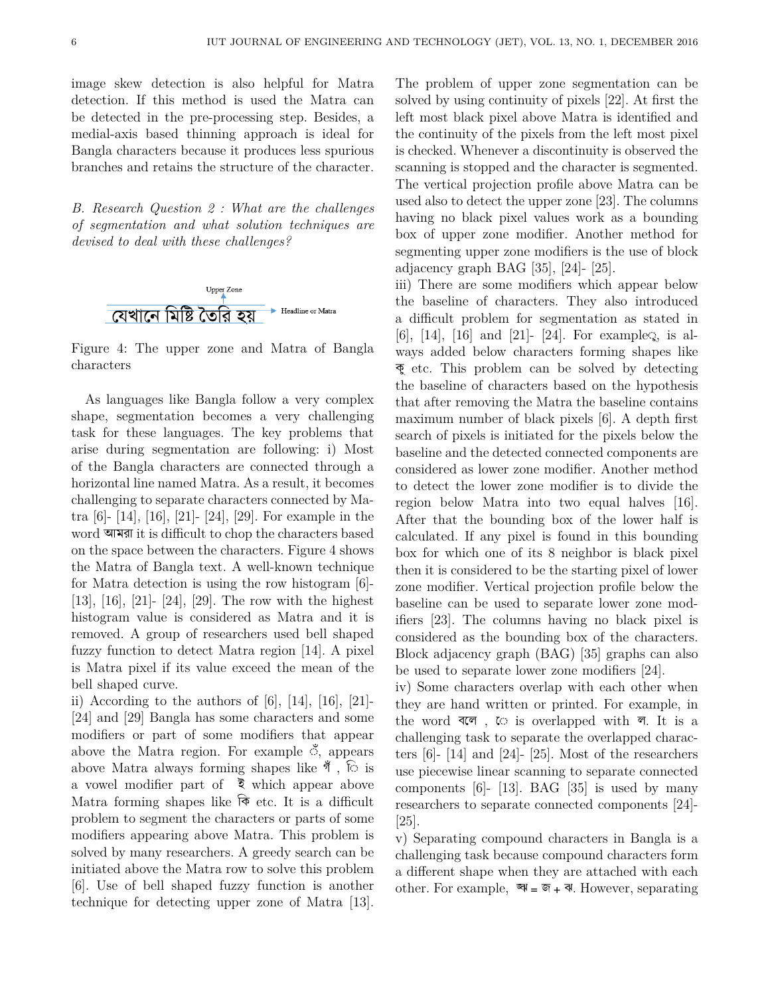image skew detection is also helpful for Matra detection. If this method is used the Matra can be detected in the pre-processing step. Besides, a medial-axis based thinning approach is ideal for Bangla characters because it produces less spurious branches and retains the structure of the character.

*B. Research Question 2 : What are the challenges of segmentation and what solution techniques are devised to deal with these challenges?*



Figure 4: The upper zone and Matra of Bangla characters

As languages like Bangla follow a very complex shape, segmentation becomes a very challenging task for these languages. The key problems that arise during segmentation are following: i) Most of the Bangla characters are connected through a horizontal line named Matra. As a result, it becomes challenging to separate characters connected by Matra [6]- [14], [16], [21]- [24], [29]. For example in the word আমরা it is difficult to chop the characters based on the space between the characters. Figure 4 shows the Matra of Bangla text. A well-known technique for Matra detection is using the row histogram [6]- [13], [16], [21]- [24], [29]. The row with the highest histogram value is considered as Matra and it is removed. A group of researchers used bell shaped fuzzy function to detect Matra region [14]. A pixel is Matra pixel if its value exceed the mean of the bell shaped curve.

ii) According to the authors of  $[6]$ ,  $[14]$ ,  $[16]$ ,  $[21]$ -[24] and [29] Bangla has some characters and some modifiers or part of some modifiers that appear above the Matra region. For example ◌ঁ, appears above Matra always forming shapes like  $\mathcal{N}$ ,  $\odot$  is a vowel modifier part of  $\bar{\xi}$  which appear above Matra forming shapes like  $\hat{\mathcal{F}}$  etc. It is a difficult problem to segment the characters or parts of some modifiers appearing above Matra. This problem is solved by many researchers. A greedy search can be initiated above the Matra row to solve this problem [6]. Use of bell shaped fuzzy function is another technique for detecting upper zone of Matra [13]. The problem of upper zone segmentation can be solved by using continuity of pixels [22]. At first the left most black pixel above Matra is identified and the continuity of the pixels from the left most pixel is checked. Whenever a discontinuity is observed the scanning is stopped and the character is segmented. The vertical projection profile above Matra can be used also to detect the upper zone [23]. The columns having no black pixel values work as a bounding box of upper zone modifier. Another method for segmenting upper zone modifiers is the use of block adjacency graph BAG [35], [24]- [25].

iii) There are some modifiers which appear below the baseline of characters. They also introduced a difficult problem for segmentation as stated in [6], [14], [16] and [21]- [24]. For example $\ddot{\text{c}}$ , is always added below characters forming shapes like কু etc. This problem can be solved by detecting the baseline of characters based on the hypothesis that after removing the Matra the baseline contains maximum number of black pixels [6]. A depth first search of pixels is initiated for the pixels below the baseline and the detected connected components are considered as lower zone modifier. Another method to detect the lower zone modifier is to divide the region below Matra into two equal halves [16]. After that the bounding box of the lower half is calculated. If any pixel is found in this bounding box for which one of its 8 neighbor is black pixel then it is considered to be the starting pixel of lower zone modifier. Vertical projection profile below the baseline can be used to separate lower zone modifiers [23]. The columns having no black pixel is considered as the bounding box of the characters. Block adjacency graph (BAG) [35] graphs can also be used to separate lower zone modifiers [24].

iv) Some characters overlap with each other when they are hand written or printed. For example, in the word বলে, ে is overlapped with ল. It is a challenging task to separate the overlapped characters [6]- [14] and [24]- [25]. Most of the researchers use piecewise linear scanning to separate connected components [6]- [13]. BAG [35] is used by many researchers to separate connected components [24]- [25].

v) Separating compound characters in Bangla is a challenging task because compound characters form a different shape when they are attached with each other. For example,  $\mathbb{R} = \mathbb{R} + \mathbb{R}$ . However, separating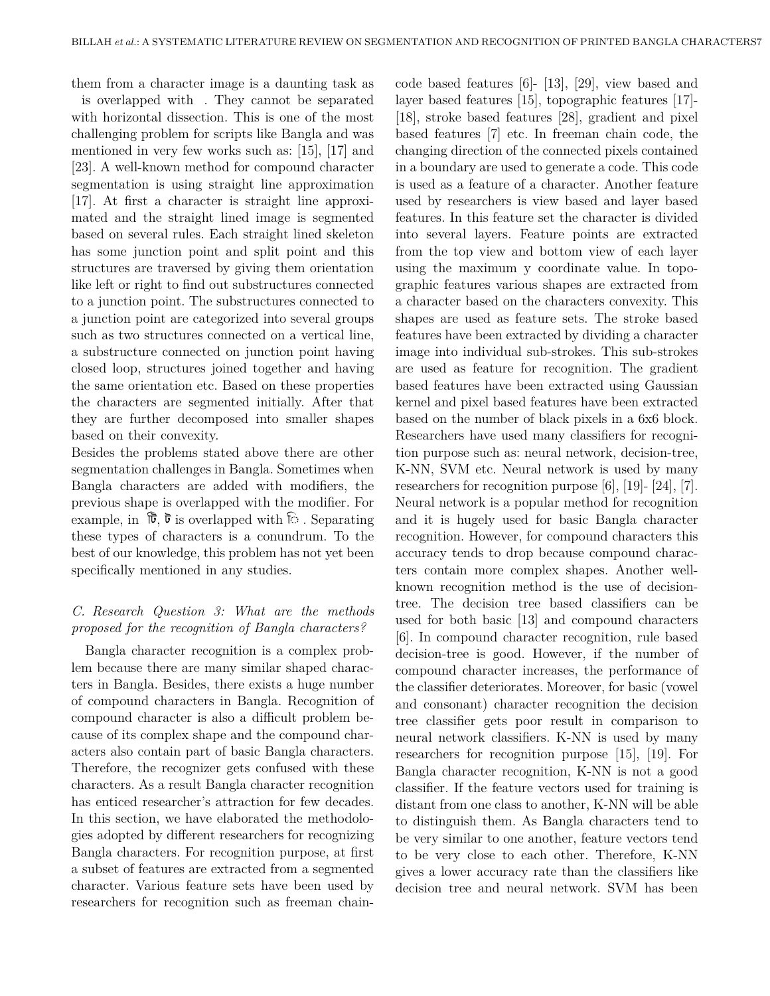them from a character image is a daunting task as

is overlapped with Finally cannot be separated with horizontal dissection. This is one of the most challenging problem for scripts like Bangla and was mentioned in very few works such as: [15], [17] and [23]. A well-known method for compound character segmentation is using straight line approximation [17]. At first a character is straight line approximated and the straight lined image is segmented based on several rules. Each straight lined skeleton has some junction point and split point and this structures are traversed by giving them orientation like left or right to find out substructures connected to a junction point. The substructures connected to a junction point are categorized into several groups such as two structures connected on a vertical line, a substructure connected on junction point having closed loop, structures joined together and having the same orientation etc. Based on these properties the characters are segmented initially. After that they are further decomposed into smaller shapes based on their convexity.

Besides the problems stated above there are other segmentation challenges in Bangla. Sometimes when Bangla characters are added with modifiers, the previous shape is overlapped with the modifier. For example, in  $\mathbb{\vec{b}}$ ,  $\mathbb{\vec{b}}$  is overlapped with  $\hat{\triangleright}$ . Separating these types of characters is a conundrum. To the best of our knowledge, this problem has not yet been specifically mentioned in any studies.

# *C. Research Question 3: What are the methods proposed for the recognition of Bangla characters?*

Bangla character recognition is a complex problem because there are many similar shaped characters in Bangla. Besides, there exists a huge number of compound characters in Bangla. Recognition of compound character is also a difficult problem because of its complex shape and the compound characters also contain part of basic Bangla characters. Therefore, the recognizer gets confused with these characters. As a result Bangla character recognition has enticed researcher's attraction for few decades. In this section, we have elaborated the methodologies adopted by different researchers for recognizing Bangla characters. For recognition purpose, at first a subset of features are extracted from a segmented character. Various feature sets have been used by researchers for recognition such as freeman chaincode based features [6]- [13], [29], view based and layer based features [15], topographic features [17]- [18], stroke based features [28], gradient and pixel based features [7] etc. In freeman chain code, the changing direction of the connected pixels contained in a boundary are used to generate a code. This code is used as a feature of a character. Another feature used by researchers is view based and layer based features. In this feature set the character is divided into several layers. Feature points are extracted from the top view and bottom view of each layer using the maximum y coordinate value. In topographic features various shapes are extracted from a character based on the characters convexity. This shapes are used as feature sets. The stroke based features have been extracted by dividing a character image into individual sub-strokes. This sub-strokes are used as feature for recognition. The gradient based features have been extracted using Gaussian kernel and pixel based features have been extracted based on the number of black pixels in a 6x6 block. Researchers have used many classifiers for recognition purpose such as: neural network, decision-tree, K-NN, SVM etc. Neural network is used by many researchers for recognition purpose [6], [19]- [24], [7]. Neural network is a popular method for recognition and it is hugely used for basic Bangla character recognition. However, for compound characters this accuracy tends to drop because compound characters contain more complex shapes. Another wellknown recognition method is the use of decisiontree. The decision tree based classifiers can be used for both basic [13] and compound characters [6]. In compound character recognition, rule based decision-tree is good. However, if the number of compound character increases, the performance of the classifier deteriorates. Moreover, for basic (vowel and consonant) character recognition the decision tree classifier gets poor result in comparison to neural network classifiers. K-NN is used by many researchers for recognition purpose [15], [19]. For Bangla character recognition, K-NN is not a good classifier. If the feature vectors used for training is distant from one class to another, K-NN will be able to distinguish them. As Bangla characters tend to be very similar to one another, feature vectors tend to be very close to each other. Therefore, K-NN gives a lower accuracy rate than the classifiers like decision tree and neural network. SVM has been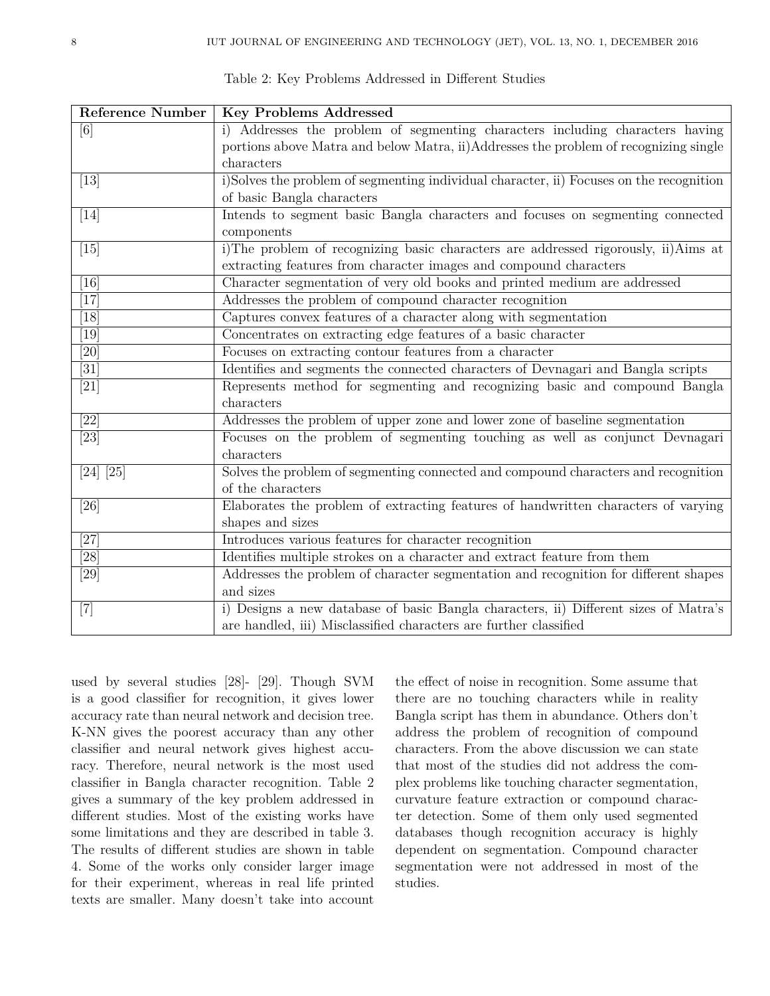| <b>Reference Number</b> | <b>Key Problems Addressed</b>                                                           |
|-------------------------|-----------------------------------------------------------------------------------------|
| [6]                     | i) Addresses the problem of segmenting characters including characters having           |
|                         | portions above Matrix and below Matrix, ii) Addresses the problem of recognizing single |
|                         | characters                                                                              |
| $[13]$                  | i)Solves the problem of segmenting individual character, ii) Focuses on the recognition |
|                         | of basic Bangla characters                                                              |
| [14]                    | Intends to segment basic Bangla characters and focuses on segmenting connected          |
|                         | components                                                                              |
| $[15]$                  | i)The problem of recognizing basic characters are addressed rigorously, ii)Aims at      |
|                         | extracting features from character images and compound characters                       |
| [16]                    | Character segmentation of very old books and printed medium are addressed               |
| [17]                    | Addresses the problem of compound character recognition                                 |
| [18]                    | Captures convex features of a character along with segmentation                         |
| [19]                    | Concentrates on extracting edge features of a basic character                           |
| [20]                    | Focuses on extracting contour features from a character                                 |
| $\overline{31}$         | Identifies and segments the connected characters of Devnagari and Bangla scripts        |
| [21]                    | Represents method for segmenting and recognizing basic and compound Bangla              |
|                         | characters                                                                              |
| $\overline{[22]}$       | Addresses the problem of upper zone and lower zone of baseline segmentation             |
| $[23]$                  | Focuses on the problem of segmenting touching as well as conjunct Devnagari             |
|                         | characters                                                                              |
| $[24]$ $[25]$           | Solves the problem of segmenting connected and compound characters and recognition      |
|                         | of the characters                                                                       |
| [26]                    | Elaborates the problem of extracting features of handwritten characters of varying      |
|                         | shapes and sizes                                                                        |
| $\overline{27}$         | Introduces various features for character recognition                                   |
| [28]                    | Identifies multiple strokes on a character and extract feature from them                |
| $\overline{29}$         | Addresses the problem of character segmentation and recognition for different shapes    |
|                         | and sizes                                                                               |
| $[7]$                   | i) Designs a new database of basic Bangla characters, ii) Different sizes of Matra's    |
|                         | are handled, iii) Misclassified characters are further classified                       |

Table 2: Key Problems Addressed in Different Studies

used by several studies [28]- [29]. Though SVM is a good classifier for recognition, it gives lower accuracy rate than neural network and decision tree. K-NN gives the poorest accuracy than any other classifier and neural network gives highest accuracy. Therefore, neural network is the most used classifier in Bangla character recognition. Table 2 gives a summary of the key problem addressed in different studies. Most of the existing works have some limitations and they are described in table 3. The results of different studies are shown in table 4. Some of the works only consider larger image for their experiment, whereas in real life printed texts are smaller. Many doesn't take into account the effect of noise in recognition. Some assume that there are no touching characters while in reality Bangla script has them in abundance. Others don't address the problem of recognition of compound characters. From the above discussion we can state that most of the studies did not address the complex problems like touching character segmentation, curvature feature extraction or compound character detection. Some of them only used segmented databases though recognition accuracy is highly dependent on segmentation. Compound character segmentation were not addressed in most of the studies.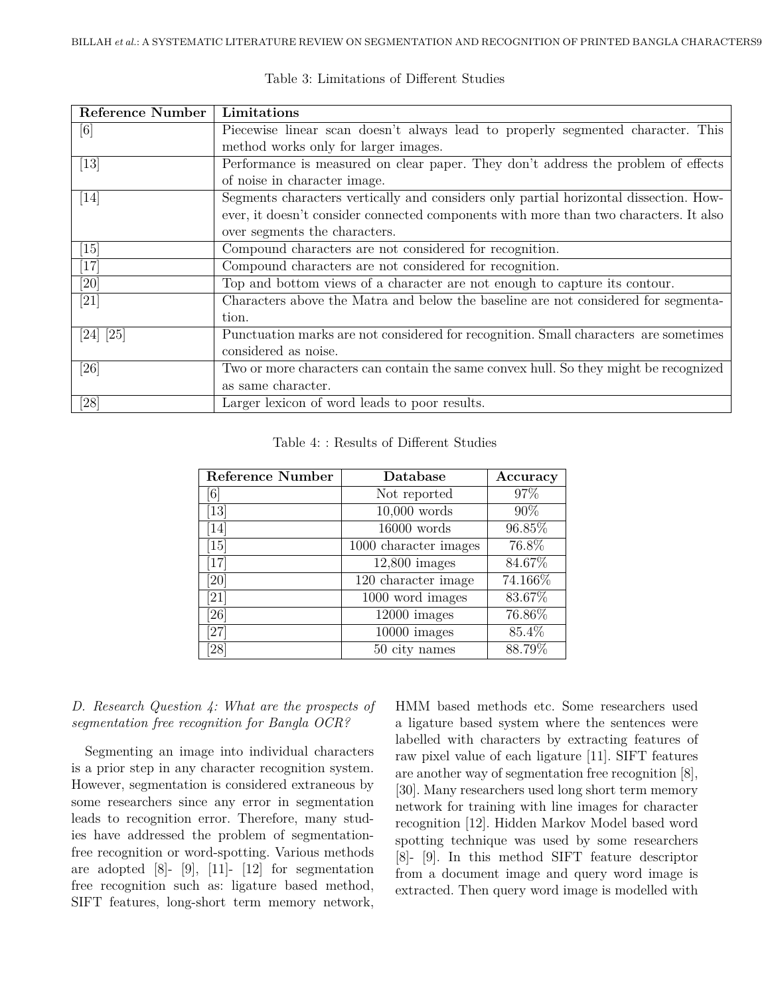| Reference Number              | Limitations                                                                           |
|-------------------------------|---------------------------------------------------------------------------------------|
| [6]                           | Piecewise linear scan doesn't always lead to properly segmented character. This       |
|                               | method works only for larger images.                                                  |
| $\left[13\right]$             | Performance is measured on clear paper. They don't address the problem of effects     |
|                               | of noise in character image.                                                          |
| $[14]$                        | Segments characters vertically and considers only partial horizontal dissection. How- |
|                               | ever, it doesn't consider connected components with more than two characters. It also |
|                               | over segments the characters.                                                         |
| $\left\lceil 15 \right\rceil$ | Compound characters are not considered for recognition.                               |
| $[17]$                        | Compound characters are not considered for recognition.                               |
| $[20]$                        | Top and bottom views of a character are not enough to capture its contour.            |
| $[21]$                        | Characters above the Matra and below the baseline are not considered for segmenta-    |
|                               | tion.                                                                                 |
| [24] [25]                     | Punctuation marks are not considered for recognition. Small characters are sometimes  |
|                               | considered as noise.                                                                  |
| [26]                          | Two or more characters can contain the same convex hull. So they might be recognized  |
|                               | as same character.                                                                    |
| [28]                          | Larger lexicon of word leads to poor results.                                         |

Table 3: Limitations of Different Studies

| Table 4:: Results of Different Studies |  |  |  |
|----------------------------------------|--|--|--|
|----------------------------------------|--|--|--|

| Reference Number              | Database              | Accuracy |
|-------------------------------|-----------------------|----------|
| $\lceil 6 \rceil$             | Not reported          | 97%      |
| $\left\lceil 13 \right\rceil$ | $10,000$ words        | 90%      |
| $\left[14\right]$             | $16000$ words         | 96.85%   |
| 15                            | 1000 character images | 76.8%    |
| $\lceil 17 \rceil$            | $12,800$ images       | 84.67%   |
| [20]                          | 120 character image   | 74.166%  |
| [21]                          | 1000 word images      | 83.67%   |
| 26                            | $12000$ images        | 76.86%   |
| $\left[ 27\right]$            | $10000$ images        | 85.4%    |
| 28                            | 50 city names         | 88.79%   |

# *D. Research Question 4: What are the prospects of segmentation free recognition for Bangla OCR?*

Segmenting an image into individual characters is a prior step in any character recognition system. However, segmentation is considered extraneous by some researchers since any error in segmentation leads to recognition error. Therefore, many studies have addressed the problem of segmentationfree recognition or word-spotting. Various methods are adopted  $[8]$ -  $[9]$ ,  $[11]$ -  $[12]$  for segmentation free recognition such as: ligature based method, SIFT features, long-short term memory network,

HMM based methods etc. Some researchers used a ligature based system where the sentences were labelled with characters by extracting features of raw pixel value of each ligature [11]. SIFT features are another way of segmentation free recognition [8], [30]. Many researchers used long short term memory network for training with line images for character recognition [12]. Hidden Markov Model based word spotting technique was used by some researchers [8]- [9]. In this method SIFT feature descriptor from a document image and query word image is extracted. Then query word image is modelled with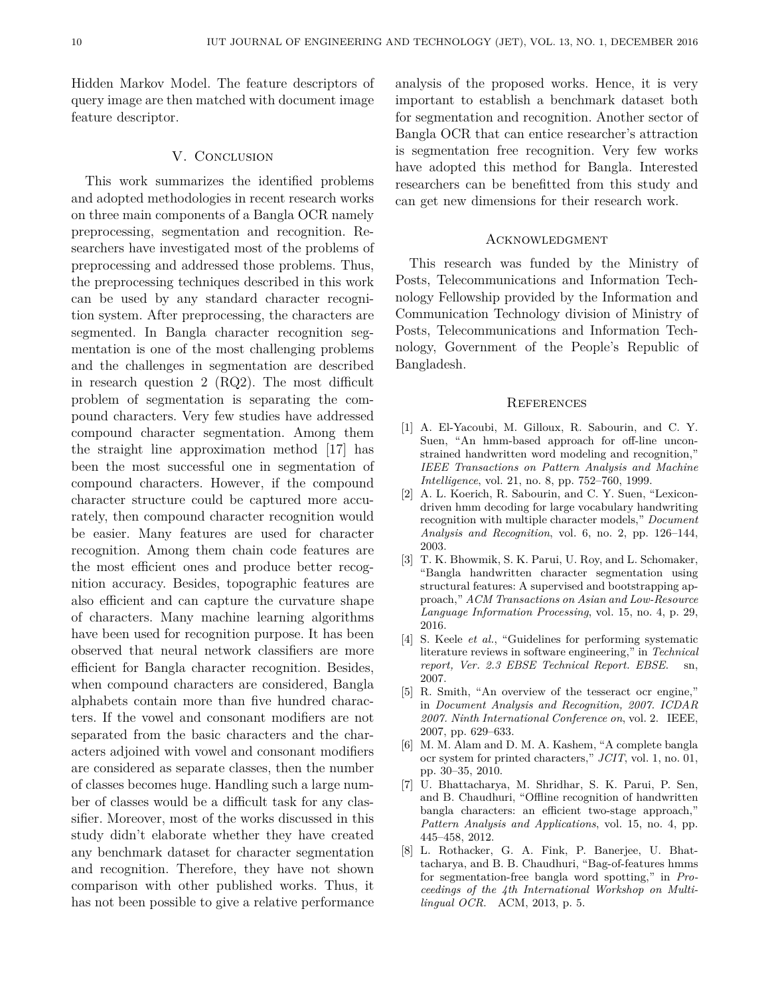Hidden Markov Model. The feature descriptors of query image are then matched with document image feature descriptor.

### V. CONCLUSION

This work summarizes the identified problems and adopted methodologies in recent research works on three main components of a Bangla OCR namely preprocessing, segmentation and recognition. Researchers have investigated most of the problems of preprocessing and addressed those problems. Thus, the preprocessing techniques described in this work can be used by any standard character recognition system. After preprocessing, the characters are segmented. In Bangla character recognition segmentation is one of the most challenging problems and the challenges in segmentation are described in research question 2 (RQ2). The most difficult problem of segmentation is separating the compound characters. Very few studies have addressed compound character segmentation. Among them the straight line approximation method [17] has been the most successful one in segmentation of compound characters. However, if the compound character structure could be captured more accurately, then compound character recognition would be easier. Many features are used for character recognition. Among them chain code features are the most efficient ones and produce better recognition accuracy. Besides, topographic features are also efficient and can capture the curvature shape of characters. Many machine learning algorithms have been used for recognition purpose. It has been observed that neural network classifiers are more efficient for Bangla character recognition. Besides, when compound characters are considered, Bangla alphabets contain more than five hundred characters. If the vowel and consonant modifiers are not separated from the basic characters and the characters adjoined with vowel and consonant modifiers are considered as separate classes, then the number of classes becomes huge. Handling such a large number of classes would be a difficult task for any classifier. Moreover, most of the works discussed in this study didn't elaborate whether they have created any benchmark dataset for character segmentation and recognition. Therefore, they have not shown comparison with other published works. Thus, it has not been possible to give a relative performance analysis of the proposed works. Hence, it is very important to establish a benchmark dataset both for segmentation and recognition. Another sector of Bangla OCR that can entice researcher's attraction is segmentation free recognition. Very few works have adopted this method for Bangla. Interested researchers can be benefitted from this study and can get new dimensions for their research work.

#### **ACKNOWLEDGMENT**

This research was funded by the Ministry of Posts, Telecommunications and Information Technology Fellowship provided by the Information and Communication Technology division of Ministry of Posts, Telecommunications and Information Technology, Government of the People's Republic of Bangladesh.

#### **REFERENCES**

- [1] A. El-Yacoubi, M. Gilloux, R. Sabourin, and C. Y. Suen, "An hmm-based approach for off-line unconstrained handwritten word modeling and recognition," *IEEE Transactions on Pattern Analysis and Machine Intelligence*, vol. 21, no. 8, pp. 752–760, 1999.
- [2] A. L. Koerich, R. Sabourin, and C. Y. Suen, "Lexicondriven hmm decoding for large vocabulary handwriting recognition with multiple character models," *Document Analysis and Recognition*, vol. 6, no. 2, pp. 126–144, 2003.
- [3] T. K. Bhowmik, S. K. Parui, U. Roy, and L. Schomaker, "Bangla handwritten character segmentation using structural features: A supervised and bootstrapping approach," *ACM Transactions on Asian and Low-Resource Language Information Processing*, vol. 15, no. 4, p. 29, 2016.
- [4] S. Keele *et al.*, "Guidelines for performing systematic literature reviews in software engineering," in *Technical report, Ver. 2.3 EBSE Technical Report. EBSE*. sn, 2007.
- [5] R. Smith, "An overview of the tesseract ocr engine," in *Document Analysis and Recognition, 2007. ICDAR 2007. Ninth International Conference on*, vol. 2. IEEE, 2007, pp. 629–633.
- [6] M. M. Alam and D. M. A. Kashem, "A complete bangla ocr system for printed characters," *JCIT*, vol. 1, no. 01, pp. 30–35, 2010.
- [7] U. Bhattacharya, M. Shridhar, S. K. Parui, P. Sen, and B. Chaudhuri, "Offline recognition of handwritten bangla characters: an efficient two-stage approach," *Pattern Analysis and Applications*, vol. 15, no. 4, pp. 445–458, 2012.
- [8] L. Rothacker, G. A. Fink, P. Banerjee, U. Bhattacharya, and B. B. Chaudhuri, "Bag-of-features hmms for segmentation-free bangla word spotting," in *Proceedings of the 4th International Workshop on Multilingual OCR*. ACM, 2013, p. 5.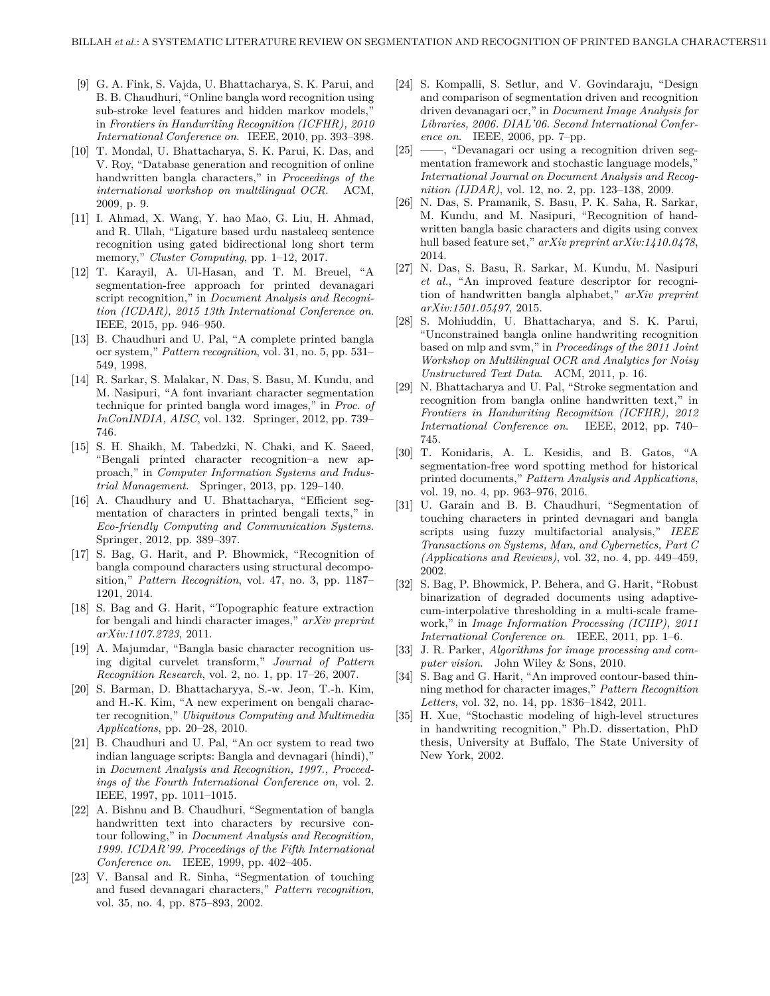- [9] G. A. Fink, S. Vajda, U. Bhattacharya, S. K. Parui, and B. B. Chaudhuri, "Online bangla word recognition using sub-stroke level features and hidden markov models," in *Frontiers in Handwriting Recognition (ICFHR), 2010 International Conference on*. IEEE, 2010, pp. 393–398.
- [10] T. Mondal, U. Bhattacharya, S. K. Parui, K. Das, and V. Roy, "Database generation and recognition of online handwritten bangla characters," in *Proceedings of the international workshop on multilingual OCR*. ACM, 2009, p. 9.
- [11] I. Ahmad, X. Wang, Y. hao Mao, G. Liu, H. Ahmad, and R. Ullah, "Ligature based urdu nastaleeq sentence recognition using gated bidirectional long short term memory," *Cluster Computing*, pp. 1–12, 2017.
- [12] T. Karayil, A. Ul-Hasan, and T. M. Breuel, "A segmentation-free approach for printed devanagari script recognition," in *Document Analysis and Recognition (ICDAR), 2015 13th International Conference on*. IEEE, 2015, pp. 946–950.
- [13] B. Chaudhuri and U. Pal, "A complete printed bangla ocr system," *Pattern recognition*, vol. 31, no. 5, pp. 531– 549, 1998.
- [14] R. Sarkar, S. Malakar, N. Das, S. Basu, M. Kundu, and M. Nasipuri, "A font invariant character segmentation technique for printed bangla word images," in *Proc. of InConINDIA, AISC*, vol. 132. Springer, 2012, pp. 739– 746.
- [15] S. H. Shaikh, M. Tabedzki, N. Chaki, and K. Saeed, "Bengali printed character recognition–a new approach," in *Computer Information Systems and Industrial Management*. Springer, 2013, pp. 129–140.
- [16] A. Chaudhury and U. Bhattacharya, "Efficient segmentation of characters in printed bengali texts," in *Eco-friendly Computing and Communication Systems*. Springer, 2012, pp. 389–397.
- [17] S. Bag, G. Harit, and P. Bhowmick, "Recognition of bangla compound characters using structural decomposition," *Pattern Recognition*, vol. 47, no. 3, pp. 1187– 1201, 2014.
- [18] S. Bag and G. Harit, "Topographic feature extraction for bengali and hindi character images," *arXiv preprint arXiv:1107.2723*, 2011.
- [19] A. Majumdar, "Bangla basic character recognition using digital curvelet transform," *Journal of Pattern Recognition Research*, vol. 2, no. 1, pp. 17–26, 2007.
- [20] S. Barman, D. Bhattacharyya, S.-w. Jeon, T.-h. Kim, and H.-K. Kim, "A new experiment on bengali character recognition," *Ubiquitous Computing and Multimedia Applications*, pp. 20–28, 2010.
- [21] B. Chaudhuri and U. Pal, "An ocr system to read two indian language scripts: Bangla and devnagari (hindi)," in *Document Analysis and Recognition, 1997., Proceedings of the Fourth International Conference on*, vol. 2. IEEE, 1997, pp. 1011–1015.
- [22] A. Bishnu and B. Chaudhuri, "Segmentation of bangla handwritten text into characters by recursive contour following," in *Document Analysis and Recognition, 1999. ICDAR'99. Proceedings of the Fifth International Conference on*. IEEE, 1999, pp. 402–405.
- [23] V. Bansal and R. Sinha, "Segmentation of touching and fused devanagari characters," *Pattern recognition*, vol. 35, no. 4, pp. 875–893, 2002.
- [24] S. Kompalli, S. Setlur, and V. Govindaraju, "Design and comparison of segmentation driven and recognition driven devanagari ocr," in *Document Image Analysis for Libraries, 2006. DIAL'06. Second International Conference on*. IEEE, 2006, pp. 7–pp.
- [25] ——, "Devanagari ocr using a recognition driven segmentation framework and stochastic language models," *International Journal on Document Analysis and Recognition (IJDAR)*, vol. 12, no. 2, pp. 123–138, 2009.
- [26] N. Das, S. Pramanik, S. Basu, P. K. Saha, R. Sarkar, M. Kundu, and M. Nasipuri, "Recognition of handwritten bangla basic characters and digits using convex hull based feature set," *arXiv preprint arXiv:1410.0478*, 2014.
- [27] N. Das, S. Basu, R. Sarkar, M. Kundu, M. Nasipuri *et al.*, "An improved feature descriptor for recognition of handwritten bangla alphabet," *arXiv preprint arXiv:1501.05497*, 2015.
- [28] S. Mohiuddin, U. Bhattacharya, and S. K. Parui, "Unconstrained bangla online handwriting recognition based on mlp and svm," in *Proceedings of the 2011 Joint Workshop on Multilingual OCR and Analytics for Noisy Unstructured Text Data*. ACM, 2011, p. 16.
- [29] N. Bhattacharya and U. Pal, "Stroke segmentation and recognition from bangla online handwritten text," in *Frontiers in Handwriting Recognition (ICFHR), 2012 International Conference on*. IEEE, 2012, pp. 740– 745.
- [30] T. Konidaris, A. L. Kesidis, and B. Gatos, "A segmentation-free word spotting method for historical printed documents," *Pattern Analysis and Applications*, vol. 19, no. 4, pp. 963–976, 2016.
- [31] U. Garain and B. B. Chaudhuri, "Segmentation of touching characters in printed devnagari and bangla scripts using fuzzy multifactorial analysis," *IEEE Transactions on Systems, Man, and Cybernetics, Part C (Applications and Reviews)*, vol. 32, no. 4, pp. 449–459, 2002.
- [32] S. Bag, P. Bhowmick, P. Behera, and G. Harit, "Robust binarization of degraded documents using adaptivecum-interpolative thresholding in a multi-scale framework," in *Image Information Processing (ICIIP), 2011 International Conference on*. IEEE, 2011, pp. 1–6.
- [33] J. R. Parker, *Algorithms for image processing and computer vision*. John Wiley & Sons, 2010.
- [34] S. Bag and G. Harit, "An improved contour-based thinning method for character images," *Pattern Recognition Letters*, vol. 32, no. 14, pp. 1836–1842, 2011.
- [35] H. Xue, "Stochastic modeling of high-level structures in handwriting recognition," Ph.D. dissertation, PhD thesis, University at Buffalo, The State University of New York, 2002.